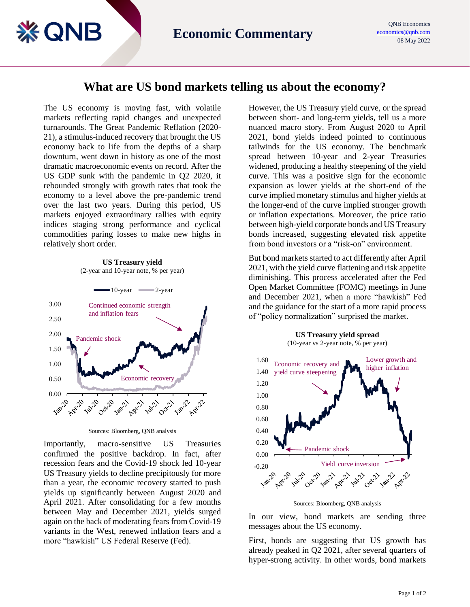## **What are US bond markets telling us about the economy?**

The US economy is moving fast, with volatile markets reflecting rapid changes and unexpected turnarounds. The Great Pandemic Reflation (2020- 21), a stimulus-induced recovery that brought the US economy back to life from the depths of a sharp downturn, went down in history as one of the most dramatic macroeconomic events on record. After the US GDP sunk with the pandemic in Q2 2020, it rebounded strongly with growth rates that took the economy to a level above the pre-pandemic trend over the last two years. During this period, US markets enjoyed extraordinary rallies with equity indices staging strong performance and cyclical commodities paring losses to make new highs in relatively short order.

**※ QNB** 

**US Treasury yield** (2-year and 10-year note, % per year)



Sources: Bloomberg, QNB analysis

Importantly, macro-sensitive US Treasuries confirmed the positive backdrop. In fact, after recession fears and the Covid-19 shock led 10-year US Treasury yields to decline precipitously for more than a year, the economic recovery started to push yields up significantly between August 2020 and April 2021. After consolidating for a few months between May and December 2021, yields surged again on the back of moderating fears from Covid-19 variants in the West, renewed inflation fears and a more "hawkish" US Federal Reserve (Fed).

However, the US Treasury yield curve, or the spread between short- and long-term yields, tell us a more nuanced macro story. From August 2020 to April 2021, bond yields indeed pointed to continuous tailwinds for the US economy. The benchmark spread between 10-year and 2-year Treasuries widened, producing a healthy steepening of the yield curve. This was a positive sign for the economic expansion as lower yields at the short-end of the curve implied monetary stimulus and higher yields at the longer-end of the curve implied stronger growth or inflation expectations. Moreover, the price ratio between high-yield corporate bonds and US Treasury bonds increased, suggesting elevated risk appetite from bond investors or a "risk-on" environment.

But bond markets started to act differently after April 2021, with the yield curve flattening and risk appetite diminishing. This process accelerated after the Fed Open Market Committee (FOMC) meetings in June and December 2021, when a more "hawkish" Fed and the guidance for the start of a more rapid process of "policy normalization" surprised the market.

**US Treasury yield spread**



Sources: Bloomberg, QNB analysis

In our view, bond markets are sending three messages about the US economy.

First, bonds are suggesting that US growth has already peaked in Q2 2021, after several quarters of hyper-strong activity. In other words, bond markets